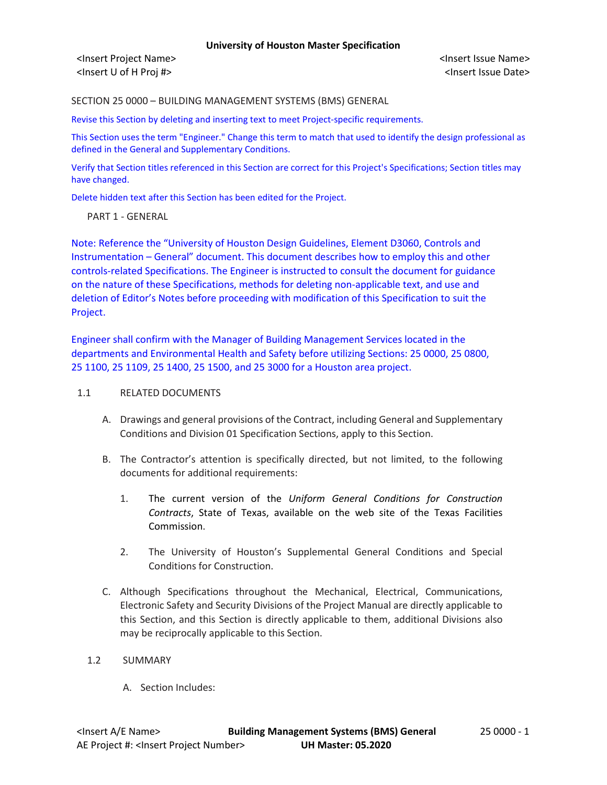<Insert Project Name> <Insert Issue Name> <Insert U of H Proj #> <Insert Issue Date>

SECTION 25 0000 – BUILDING MANAGEMENT SYSTEMS (BMS) GENERAL

Revise this Section by deleting and inserting text to meet Project-specific requirements.

This Section uses the term "Engineer." Change this term to match that used to identify the design professional as defined in the General and Supplementary Conditions.

Verify that Section titles referenced in this Section are correct for this Project's Specifications; Section titles may have changed.

Delete hidden text after this Section has been edited for the Project.

PART 1 - GENERAL

Note: Reference the "University of Houston Design Guidelines, Element D3060, Controls and Instrumentation – General" document. This document describes how to employ this and other controls-related Specifications. The Engineer is instructed to consult the document for guidance on the nature of these Specifications, methods for deleting non-applicable text, and use and deletion of Editor's Notes before proceeding with modification of this Specification to suit the Project.

Engineer shall confirm with the Manager of Building Management Services located in the departments and Environmental Health and Safety before utilizing Sections: 25 0000, 25 0800, 25 1100, 25 1109, 25 1400, 25 1500, and 25 3000 for a Houston area project.

#### 1.1 RELATED DOCUMENTS

- A. Drawings and general provisions of the Contract, including General and Supplementary Conditions and Division 01 Specification Sections, apply to this Section.
- B. The Contractor's attention is specifically directed, but not limited, to the following documents for additional requirements:
	- 1. The current version of the *Uniform General Conditions for Construction Contracts*, State of Texas, available on the web site of the Texas Facilities Commission.
	- 2. The University of Houston's Supplemental General Conditions and Special Conditions for Construction.
- C. Although Specifications throughout the Mechanical, Electrical, Communications, Electronic Safety and Security Divisions of the Project Manual are directly applicable to this Section, and this Section is directly applicable to them, additional Divisions also may be reciprocally applicable to this Section.
- 1.2 SUMMARY
	- A. Section Includes: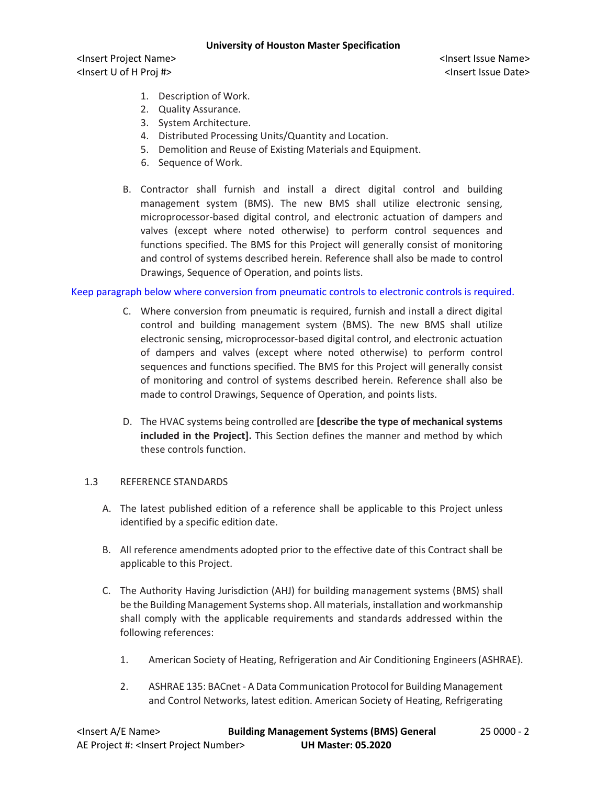<Insert Project Name> <Insert Issue Name> <Insert U of H Proj #> <Insert Issue Date>

- 1. Description of Work.
- 2. Quality Assurance.
- 3. System Architecture.
- 4. Distributed Processing Units/Quantity and Location.
- 5. Demolition and Reuse of Existing Materials and Equipment.
- 6. Sequence of Work.
- B. Contractor shall furnish and install a direct digital control and building management system (BMS). The new BMS shall utilize electronic sensing, microprocessor-based digital control, and electronic actuation of dampers and valves (except where noted otherwise) to perform control sequences and functions specified. The BMS for this Project will generally consist of monitoring and control of systems described herein. Reference shall also be made to control Drawings, Sequence of Operation, and points lists.

# Keep paragraph below where conversion from pneumatic controls to electronic controls is required.

- C. Where conversion from pneumatic is required, furnish and install a direct digital control and building management system (BMS). The new BMS shall utilize electronic sensing, microprocessor-based digital control, and electronic actuation of dampers and valves (except where noted otherwise) to perform control sequences and functions specified. The BMS for this Project will generally consist of monitoring and control of systems described herein. Reference shall also be made to control Drawings, Sequence of Operation, and points lists.
- D. The HVAC systems being controlled are **[describe the type of mechanical systems included in the Project].** This Section defines the manner and method by which these controls function.

#### 1.3 REFERENCE STANDARDS

- A. The latest published edition of a reference shall be applicable to this Project unless identified by a specific edition date.
- B. All reference amendments adopted prior to the effective date of this Contract shall be applicable to this Project.
- C. The Authority Having Jurisdiction (AHJ) for building management systems (BMS) shall be the Building Management Systems shop. All materials, installation and workmanship shall comply with the applicable requirements and standards addressed within the following references:
	- 1. American Society of Heating, Refrigeration and Air Conditioning Engineers(ASHRAE).
	- 2. ASHRAE 135: BACnet A Data Communication Protocol for Building Management and Control Networks, latest edition. American Society of Heating, Refrigerating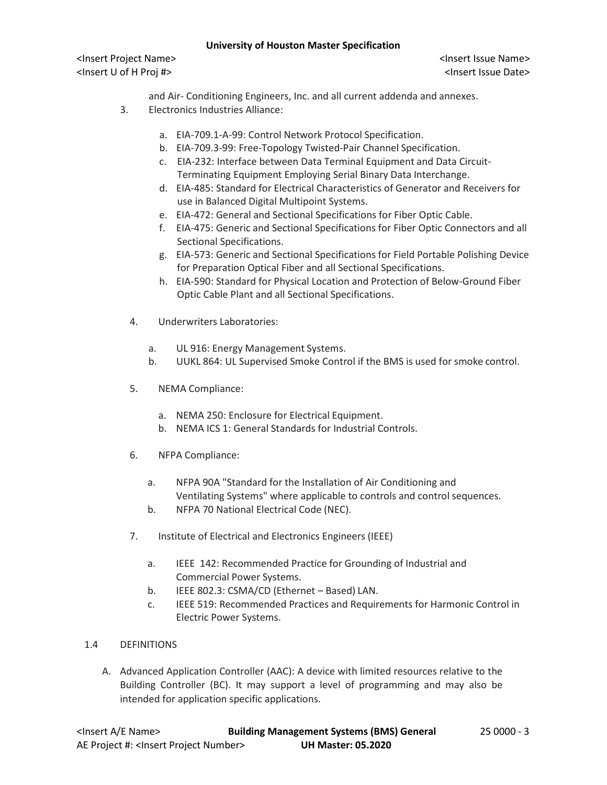<Insert Project Name> <Insert Issue Name> <Insert U of H Proj #> <Insert Issue Date>

- and Air- Conditioning Engineers, Inc. and all current addenda and annexes.
- 3. Electronics Industries Alliance:
	- a. EIA-709.1-A-99: Control Network Protocol Specification.
	- b. EIA-709.3-99: Free-Topology Twisted-Pair Channel Specification.
	- c. EIA-232: Interface between Data Terminal Equipment and Data Circuit-Terminating Equipment Employing Serial Binary Data Interchange.
	- d. EIA-485: Standard for Electrical Characteristics of Generator and Receivers for use in Balanced Digital Multipoint Systems.
	- e. EIA-472: General and Sectional Specifications for Fiber Optic Cable.
	- f. EIA-475: Generic and Sectional Specifications for Fiber Optic Connectors and all Sectional Specifications.
	- g. EIA-573: Generic and Sectional Specifications for Field Portable Polishing Device for Preparation Optical Fiber and all Sectional Specifications.
	- h. EIA-590: Standard for Physical Location and Protection of Below-Ground Fiber Optic Cable Plant and all Sectional Specifications.
	- 4. Underwriters Laboratories:
		- a. UL 916: Energy Management Systems.
		- b. UUKL 864: UL Supervised Smoke Control if the BMS is used for smoke control.
	- 5. NEMA Compliance:
		- a. NEMA 250: Enclosure for Electrical Equipment.
		- b. NEMA ICS 1: General Standards for Industrial Controls.
	- 6. NFPA Compliance:
		- a. NFPA 90A "Standard for the Installation of Air Conditioning and Ventilating Systems" where applicable to controls and control sequences.
		- b. NFPA 70 National Electrical Code (NEC).
	- 7. Institute of Electrical and Electronics Engineers (IEEE)
		- a. IEEE 142: Recommended Practice for Grounding of Industrial and Commercial Power Systems.
		- b. IEEE 802.3: CSMA/CD (Ethernet Based) LAN.
		- c. IEEE 519: Recommended Practices and Requirements for Harmonic Control in Electric Power Systems.
- 1.4 DEFINITIONS
	- A. Advanced Application Controller (AAC): A device with limited resources relative to the Building Controller (BC). It may support a level of programming and may also be intended for application specific applications.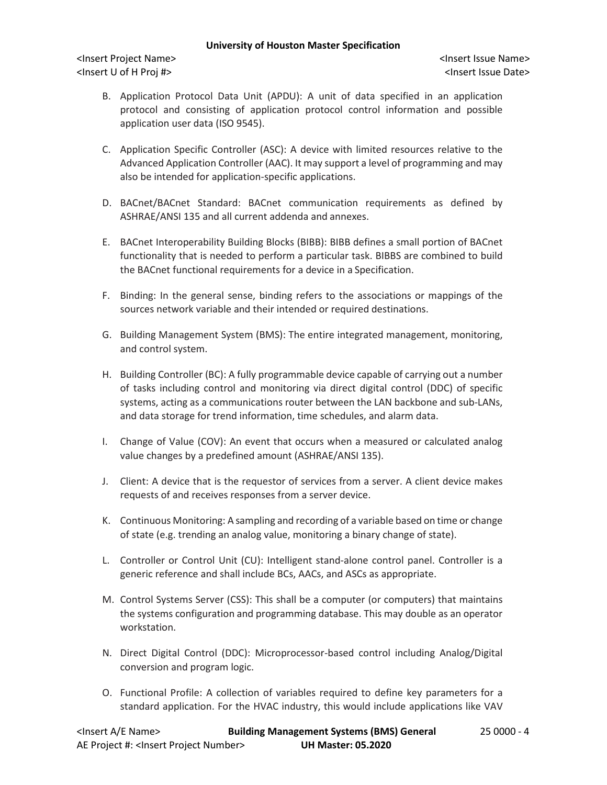<Insert Project Name> <Insert Issue Name> <Insert U of H Proj #> <Insert Issue Date>

- B. Application Protocol Data Unit (APDU): A unit of data specified in an application protocol and consisting of application protocol control information and possible application user data (ISO 9545).
- C. Application Specific Controller (ASC): A device with limited resources relative to the Advanced Application Controller (AAC). It may support a level of programming and may also be intended for application-specific applications.
- D. BACnet/BACnet Standard: BACnet communication requirements as defined by ASHRAE/ANSI 135 and all current addenda and annexes.
- E. BACnet Interoperability Building Blocks (BIBB): BIBB defines a small portion of BACnet functionality that is needed to perform a particular task. BIBBS are combined to build the BACnet functional requirements for a device in a Specification.
- F. Binding: In the general sense, binding refers to the associations or mappings of the sources network variable and their intended or required destinations.
- G. Building Management System (BMS): The entire integrated management, monitoring, and control system.
- H. Building Controller (BC): A fully programmable device capable of carrying out a number of tasks including control and monitoring via direct digital control (DDC) of specific systems, acting as a communications router between the LAN backbone and sub-LANs, and data storage for trend information, time schedules, and alarm data.
- I. Change of Value (COV): An event that occurs when a measured or calculated analog value changes by a predefined amount (ASHRAE/ANSI 135).
- J. Client: A device that is the requestor of services from a server. A client device makes requests of and receives responses from a server device.
- K. Continuous Monitoring: A sampling and recording of a variable based on time or change of state (e.g. trending an analog value, monitoring a binary change of state).
- L. Controller or Control Unit (CU): Intelligent stand-alone control panel. Controller is a generic reference and shall include BCs, AACs, and ASCs as appropriate.
- M. Control Systems Server (CSS): This shall be a computer (or computers) that maintains the systems configuration and programming database. This may double as an operator workstation.
- N. Direct Digital Control (DDC): Microprocessor-based control including Analog/Digital conversion and program logic.
- O. Functional Profile: A collection of variables required to define key parameters for a standard application. For the HVAC industry, this would include applications like VAV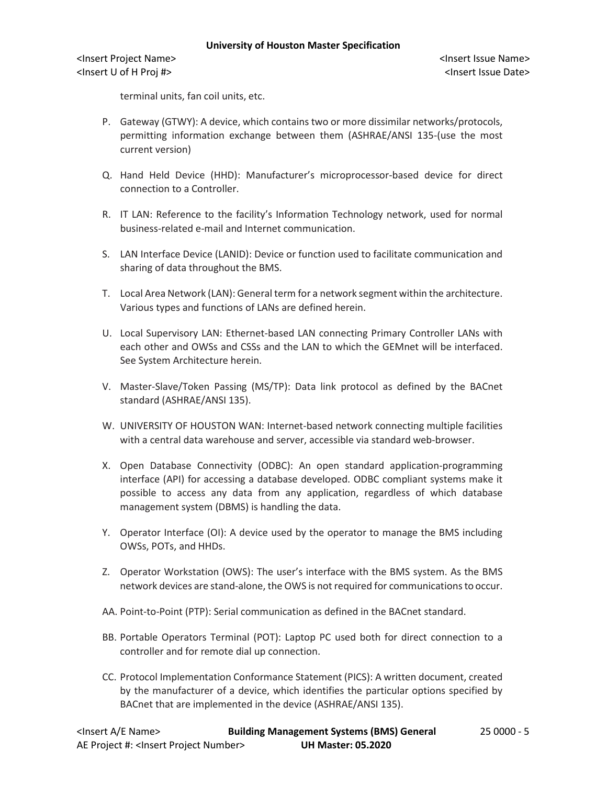<Insert Project Name> <Insert Issue Name> <Insert U of H Proj #> <Insert Issue Date>

terminal units, fan coil units, etc.

- P. Gateway (GTWY): A device, which contains two or more dissimilar networks/protocols, permitting information exchange between them (ASHRAE/ANSI 135-(use the most current version)
- Q. Hand Held Device (HHD): Manufacturer's microprocessor-based device for direct connection to a Controller.
- R. IT LAN: Reference to the facility's Information Technology network, used for normal business-related e-mail and Internet communication.
- S. LAN Interface Device (LANID): Device or function used to facilitate communication and sharing of data throughout the BMS.
- T. Local Area Network (LAN): General term for a network segment within the architecture. Various types and functions of LANs are defined herein.
- U. Local Supervisory LAN: Ethernet-based LAN connecting Primary Controller LANs with each other and OWSs and CSSs and the LAN to which the GEMnet will be interfaced. See System Architecture herein.
- V. Master-Slave/Token Passing (MS/TP): Data link protocol as defined by the BACnet standard (ASHRAE/ANSI 135).
- W. UNIVERSITY OF HOUSTON WAN: Internet-based network connecting multiple facilities with a central data warehouse and server, accessible via standard web-browser.
- X. Open Database Connectivity (ODBC): An open standard application-programming interface (API) for accessing a database developed. ODBC compliant systems make it possible to access any data from any application, regardless of which database management system (DBMS) is handling the data.
- Y. Operator Interface (OI): A device used by the operator to manage the BMS including OWSs, POTs, and HHDs.
- Z. Operator Workstation (OWS): The user's interface with the BMS system. As the BMS network devices are stand-alone, the OWS is not required for communications to occur.
- AA. Point-to-Point (PTP): Serial communication as defined in the BACnet standard.
- BB. Portable Operators Terminal (POT): Laptop PC used both for direct connection to a controller and for remote dial up connection.
- CC. Protocol Implementation Conformance Statement (PICS): A written document, created by the manufacturer of a device, which identifies the particular options specified by BACnet that are implemented in the device (ASHRAE/ANSI 135).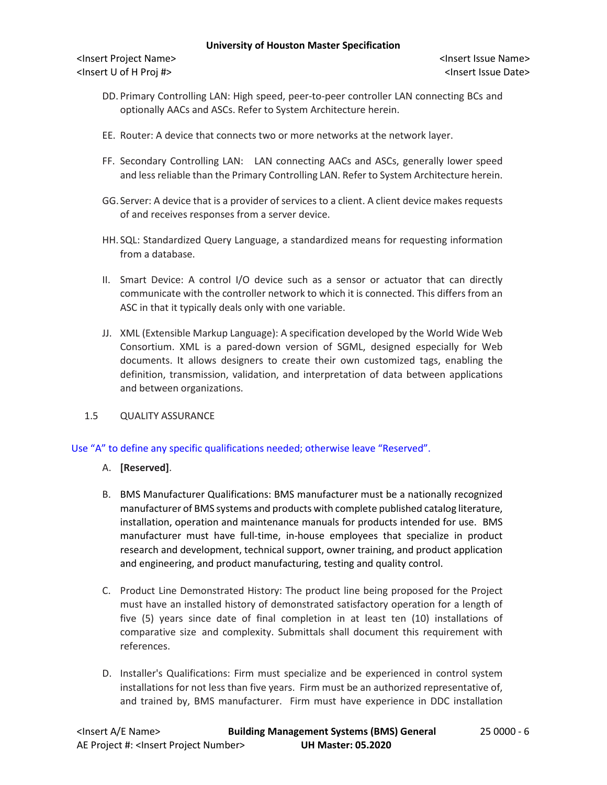<Insert Project Name> <Insert Issue Name> <Insert U of H Proj #> <Insert Issue Date>

- DD. Primary Controlling LAN: High speed, peer-to-peer controller LAN connecting BCs and optionally AACs and ASCs. Refer to System Architecture herein.
- EE. Router: A device that connects two or more networks at the network layer.
- FF. Secondary Controlling LAN: LAN connecting AACs and ASCs, generally lower speed and less reliable than the Primary Controlling LAN. Refer to System Architecture herein.
- GG. Server: A device that is a provider of services to a client. A client device makes requests of and receives responses from a server device.
- HH. SQL: Standardized Query Language, a standardized means for requesting information from a database.
- II. Smart Device: A control I/O device such as a sensor or actuator that can directly communicate with the controller network to which it is connected. This differs from an ASC in that it typically deals only with one variable.
- JJ. XML (Extensible Markup Language): A specification developed by the World Wide Web Consortium. XML is a pared-down version of SGML, designed especially for Web documents. It allows designers to create their own customized tags, enabling the definition, transmission, validation, and interpretation of data between applications and between organizations.
- 1.5 QUALITY ASSURANCE

Use "A" to define any specific qualifications needed; otherwise leave "Reserved".

- A. **[Reserved]**.
- B. BMS Manufacturer Qualifications: BMS manufacturer must be a nationally recognized manufacturer of BMS systems and products with complete published catalog literature, installation, operation and maintenance manuals for products intended for use. BMS manufacturer must have full-time, in-house employees that specialize in product research and development, technical support, owner training, and product application and engineering, and product manufacturing, testing and quality control.
- C. Product Line Demonstrated History: The product line being proposed for the Project must have an installed history of demonstrated satisfactory operation for a length of five (5) years since date of final completion in at least ten (10) installations of comparative size and complexity. Submittals shall document this requirement with references.
- D. Installer's Qualifications: Firm must specialize and be experienced in control system installations for not less than five years. Firm must be an authorized representative of, and trained by, BMS manufacturer. Firm must have experience in DDC installation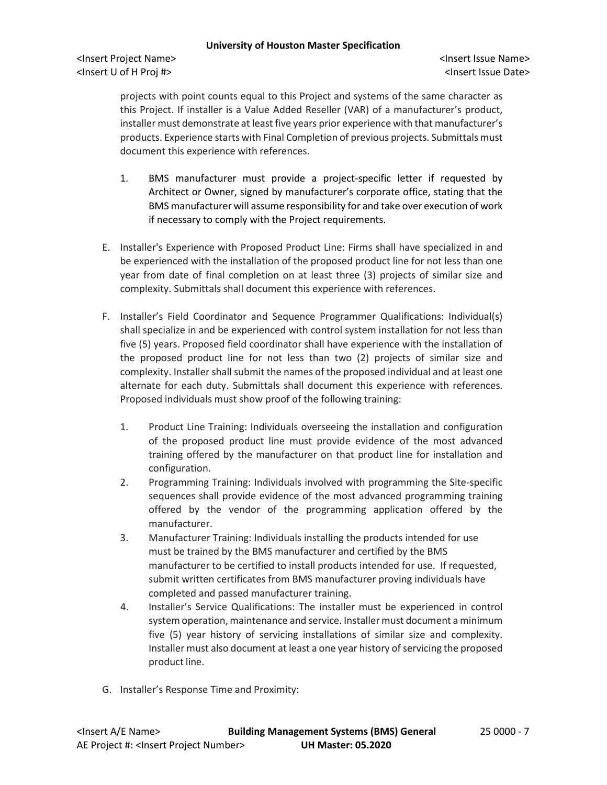projects with point counts equal to this Project and systems of the same character as this Project. If installer is a Value Added Reseller (VAR) of a manufacturer's product, installer must demonstrate at least five years prior experience with that manufacturer's products. Experience starts with Final Completion of previous projects. Submittals must document this experience with references.

- 1. BMS manufacturer must provide a project-specific letter if requested by Architect or Owner, signed by manufacturer's corporate office, stating that the BMS manufacturer will assume responsibility for and take over execution of work if necessary to comply with the Project requirements.
- E. Installer's Experience with Proposed Product Line: Firms shall have specialized in and be experienced with the installation of the proposed product line for not less than one year from date of final completion on at least three (3) projects of similar size and complexity. Submittals shall document this experience with references.
- F. Installer's Field Coordinator and Sequence Programmer Qualifications: Individual(s) shall specialize in and be experienced with control system installation for not less than five (5) years. Proposed field coordinator shall have experience with the installation of the proposed product line for not less than two (2) projects of similar size and complexity. Installer shall submit the names of the proposed individual and at least one alternate for each duty. Submittals shall document this experience with references. Proposed individuals must show proof of the following training:
	- 1. Product Line Training: Individuals overseeing the installation and configuration of the proposed product line must provide evidence of the most advanced training offered by the manufacturer on that product line for installation and configuration.
	- 2. Programming Training: Individuals involved with programming the Site-specific sequences shall provide evidence of the most advanced programming training offered by the vendor of the programming application offered by the manufacturer.
	- 3. Manufacturer Training: Individuals installing the products intended for use must be trained by the BMS manufacturer and certified by the BMS manufacturer to be certified to install products intended for use. If requested, submit written certificates from BMS manufacturer proving individuals have completed and passed manufacturer training.
	- 4. Installer's Service Qualifications: The installer must be experienced in control system operation, maintenance and service. Installer must document a minimum five (5) year history of servicing installations of similar size and complexity. Installer must also document at least a one year history of servicing the proposed product line.
- G. Installer's Response Time and Proximity: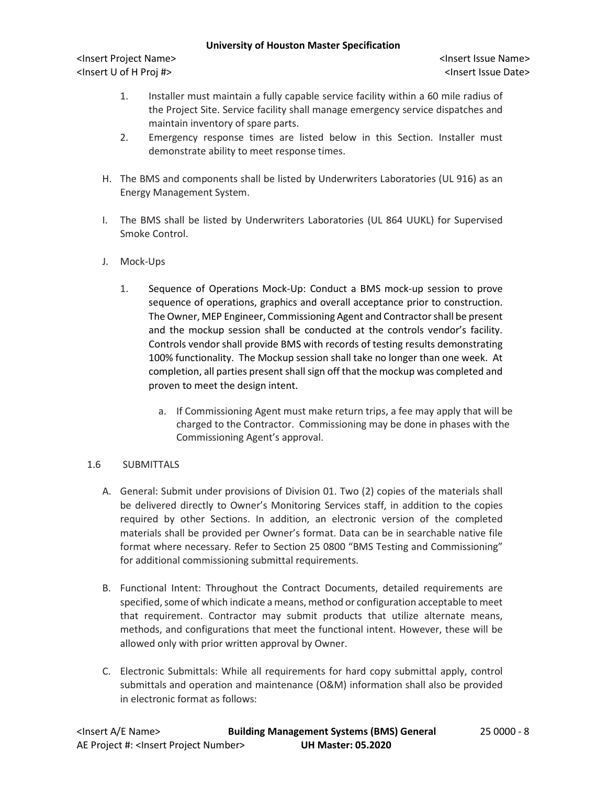<Insert Project Name> <Insert Issue Name> <Insert U of H Proj #> <Insert Issue Date>

- 1. Installer must maintain a fully capable service facility within a 60 mile radius of the Project Site. Service facility shall manage emergency service dispatches and maintain inventory of spare parts.
- 2. Emergency response times are listed below in this Section. Installer must demonstrate ability to meet response times.
- H. The BMS and components shall be listed by Underwriters Laboratories (UL 916) as an Energy Management System.
- I. The BMS shall be listed by Underwriters Laboratories (UL 864 UUKL) for Supervised Smoke Control.
- J. Mock-Ups
	- 1. Sequence of Operations Mock-Up: Conduct a BMS mock-up session to prove sequence of operations, graphics and overall acceptance prior to construction. The Owner, MEP Engineer, Commissioning Agent and Contractor shall be present and the mockup session shall be conducted at the controls vendor's facility. Controls vendor shall provide BMS with records of testing results demonstrating 100% functionality. The Mockup session shall take no longer than one week. At completion, all parties present shall sign off that the mockup was completed and proven to meet the design intent.
		- a. If Commissioning Agent must make return trips, a fee may apply that will be charged to the Contractor. Commissioning may be done in phases with the Commissioning Agent's approval.

### 1.6 SUBMITTALS

- A. General: Submit under provisions of Division 01. Two (2) copies of the materials shall be delivered directly to Owner's Monitoring Services staff, in addition to the copies required by other Sections. In addition, an electronic version of the completed materials shall be provided per Owner's format. Data can be in searchable native file format where necessary. Refer to Section 25 0800 "BMS Testing and Commissioning" for additional commissioning submittal requirements.
- B. Functional Intent: Throughout the Contract Documents, detailed requirements are specified, some of which indicate a means, method or configuration acceptable to meet that requirement. Contractor may submit products that utilize alternate means, methods, and configurations that meet the functional intent. However, these will be allowed only with prior written approval by Owner.
- C. Electronic Submittals: While all requirements for hard copy submittal apply, control submittals and operation and maintenance (O&M) information shall also be provided in electronic format as follows: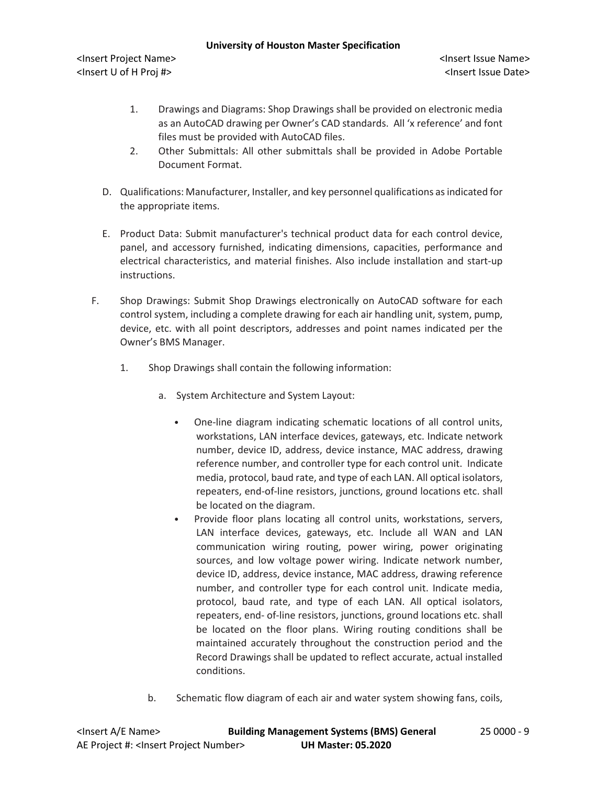<Insert Project Name> <Insert Issue Name> <Insert U of H Proj #> <Insert Issue Date>

- 1. Drawings and Diagrams: Shop Drawings shall be provided on electronic media as an AutoCAD drawing per Owner's CAD standards. All 'x reference' and font files must be provided with AutoCAD files.
- 2. Other Submittals: All other submittals shall be provided in Adobe Portable Document Format.
- D. Qualifications: Manufacturer, Installer, and key personnel qualifications as indicated for the appropriate items.
- E. Product Data: Submit manufacturer's technical product data for each control device, panel, and accessory furnished, indicating dimensions, capacities, performance and electrical characteristics, and material finishes. Also include installation and start-up instructions.
- F. Shop Drawings: Submit Shop Drawings electronically on AutoCAD software for each control system, including a complete drawing for each air handling unit, system, pump, device, etc. with all point descriptors, addresses and point names indicated per the Owner's BMS Manager.
	- 1. Shop Drawings shall contain the following information:
		- a. System Architecture and System Layout:
			- One-line diagram indicating schematic locations of all control units, workstations, LAN interface devices, gateways, etc. Indicate network number, device ID, address, device instance, MAC address, drawing reference number, and controller type for each control unit. Indicate media, protocol, baud rate, and type of each LAN. All optical isolators, repeaters, end-of-line resistors, junctions, ground locations etc. shall be located on the diagram.
			- Provide floor plans locating all control units, workstations, servers, LAN interface devices, gateways, etc. Include all WAN and LAN communication wiring routing, power wiring, power originating sources, and low voltage power wiring. Indicate network number, device ID, address, device instance, MAC address, drawing reference number, and controller type for each control unit. Indicate media, protocol, baud rate, and type of each LAN. All optical isolators, repeaters, end- of-line resistors, junctions, ground locations etc. shall be located on the floor plans. Wiring routing conditions shall be maintained accurately throughout the construction period and the Record Drawings shall be updated to reflect accurate, actual installed conditions.
		- b. Schematic flow diagram of each air and water system showing fans, coils,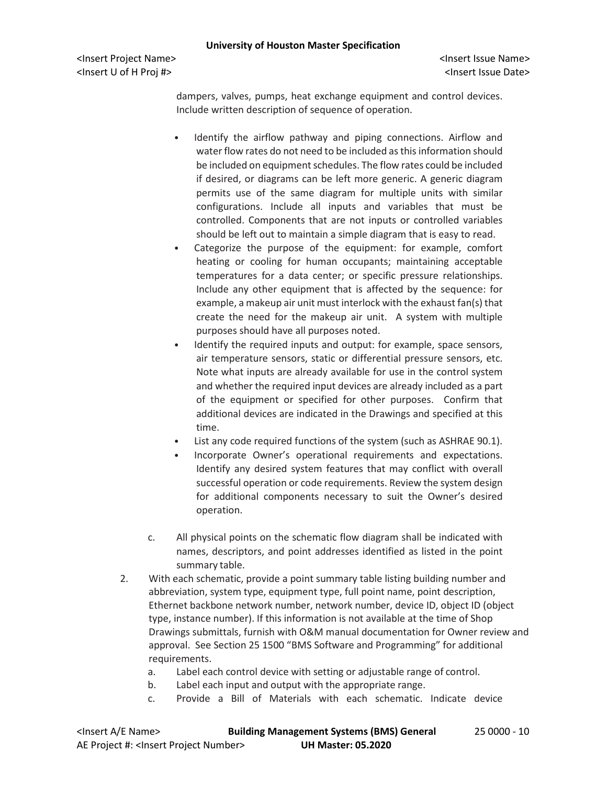<Insert Project Name> <Insert Issue Name> <Insert U of H Proj #> <Insert Issue Date>

dampers, valves, pumps, heat exchange equipment and control devices. Include written description of sequence of operation.

- Identify the airflow pathway and piping connections. Airflow and water flow rates do not need to be included as this information should be included on equipment schedules. The flow rates could be included if desired, or diagrams can be left more generic. A generic diagram permits use of the same diagram for multiple units with similar configurations. Include all inputs and variables that must be controlled. Components that are not inputs or controlled variables should be left out to maintain a simple diagram that is easy to read.
- Categorize the purpose of the equipment: for example, comfort heating or cooling for human occupants; maintaining acceptable temperatures for a data center; or specific pressure relationships. Include any other equipment that is affected by the sequence: for example, a makeup air unit must interlock with the exhaust fan(s) that create the need for the makeup air unit. A system with multiple purposes should have all purposes noted.
- Identify the required inputs and output: for example, space sensors, air temperature sensors, static or differential pressure sensors, etc. Note what inputs are already available for use in the control system and whether the required input devices are already included as a part of the equipment or specified for other purposes. Confirm that additional devices are indicated in the Drawings and specified at this time.
- List any code required functions of the system (such as ASHRAE 90.1).
- Incorporate Owner's operational requirements and expectations. Identify any desired system features that may conflict with overall successful operation or code requirements. Review the system design for additional components necessary to suit the Owner's desired operation.
- c. All physical points on the schematic flow diagram shall be indicated with names, descriptors, and point addresses identified as listed in the point summary table.
- 2. With each schematic, provide a point summary table listing building number and abbreviation, system type, equipment type, full point name, point description, Ethernet backbone network number, network number, device ID, object ID (object type, instance number). If this information is not available at the time of Shop Drawings submittals, furnish with O&M manual documentation for Owner review and approval. See Section 25 1500 "BMS Software and Programming" for additional requirements.
	- a. Label each control device with setting or adjustable range of control.
	- b. Label each input and output with the appropriate range.
	- c. Provide a Bill of Materials with each schematic. Indicate device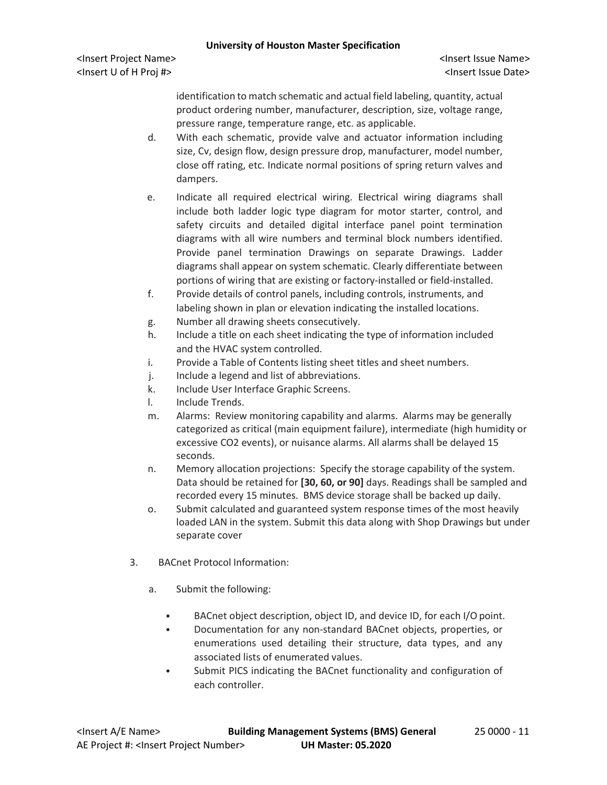<Insert Project Name> <Insert Issue Name> <Insert U of H Proj #> <Insert Issue Date>

identification to match schematic and actual field labeling, quantity, actual product ordering number, manufacturer, description, size, voltage range, pressure range, temperature range, etc. as applicable.

- d. With each schematic, provide valve and actuator information including size, Cv, design flow, design pressure drop, manufacturer, model number, close off rating, etc. Indicate normal positions of spring return valves and dampers.
- e. Indicate all required electrical wiring. Electrical wiring diagrams shall include both ladder logic type diagram for motor starter, control, and safety circuits and detailed digital interface panel point termination diagrams with all wire numbers and terminal block numbers identified. Provide panel termination Drawings on separate Drawings. Ladder diagrams shall appear on system schematic. Clearly differentiate between portions of wiring that are existing or factory-installed or field-installed.
- f. Provide details of control panels, including controls, instruments, and labeling shown in plan or elevation indicating the installed locations.
- g. Number all drawing sheets consecutively.
- h. Include a title on each sheet indicating the type of information included and the HVAC system controlled.
- i. Provide a Table of Contents listing sheet titles and sheet numbers.
- j. Include a legend and list of abbreviations.
- k. Include User Interface Graphic Screens.
- l. Include Trends.
- m. Alarms: Review monitoring capability and alarms. Alarms may be generally categorized as critical (main equipment failure), intermediate (high humidity or excessive CO2 events), or nuisance alarms. All alarms shall be delayed 15 seconds.
- n. Memory allocation projections: Specify the storage capability of the system. Data should be retained for **[30, 60, or 90]** days. Readings shall be sampled and recorded every 15 minutes. BMS device storage shall be backed up daily.
- o. Submit calculated and guaranteed system response times of the most heavily loaded LAN in the system. Submit this data along with Shop Drawings but under separate cover
- 3. BACnet Protocol Information:
	- a. Submit the following:
		- BACnet object description, object ID, and device ID, for each I/O point.
		- Documentation for any non-standard BACnet objects, properties, or enumerations used detailing their structure, data types, and any associated lists of enumerated values.
		- Submit PICS indicating the BACnet functionality and configuration of each controller.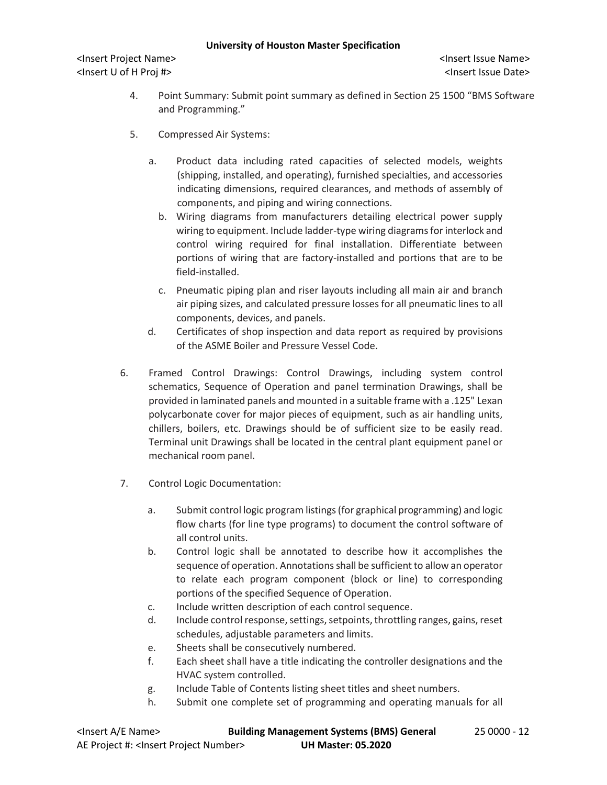<Insert Project Name> <Insert Issue Name> <Insert U of H Proj #> <Insert Issue Date>

- 4. Point Summary: Submit point summary as defined in Section 25 1500 "BMS Software and Programming."
- 5. Compressed Air Systems:
	- a. Product data including rated capacities of selected models, weights (shipping, installed, and operating), furnished specialties, and accessories indicating dimensions, required clearances, and methods of assembly of components, and piping and wiring connections.
		- b. Wiring diagrams from manufacturers detailing electrical power supply wiring to equipment. Include ladder-type wiring diagrams for interlock and control wiring required for final installation. Differentiate between portions of wiring that are factory-installed and portions that are to be field-installed.
		- c. Pneumatic piping plan and riser layouts including all main air and branch air piping sizes, and calculated pressure losses for all pneumatic lines to all components, devices, and panels.
	- d. Certificates of shop inspection and data report as required by provisions of the ASME Boiler and Pressure Vessel Code.
- 6. Framed Control Drawings: Control Drawings, including system control schematics, Sequence of Operation and panel termination Drawings, shall be provided in laminated panels and mounted in a suitable frame with a .125" Lexan polycarbonate cover for major pieces of equipment, such as air handling units, chillers, boilers, etc. Drawings should be of sufficient size to be easily read. Terminal unit Drawings shall be located in the central plant equipment panel or mechanical room panel.
- 7. Control Logic Documentation:
	- a. Submit control logic program listings(for graphical programming) and logic flow charts (for line type programs) to document the control software of all control units.
	- b. Control logic shall be annotated to describe how it accomplishes the sequence of operation. Annotations shall be sufficient to allow an operator to relate each program component (block or line) to corresponding portions of the specified Sequence of Operation.
	- c. Include written description of each control sequence.
	- d. Include control response, settings, setpoints, throttling ranges, gains, reset schedules, adjustable parameters and limits.
	- e. Sheets shall be consecutively numbered.
	- f. Each sheet shall have a title indicating the controller designations and the HVAC system controlled.
	- g. Include Table of Contents listing sheet titles and sheet numbers.
	- h. Submit one complete set of programming and operating manuals for all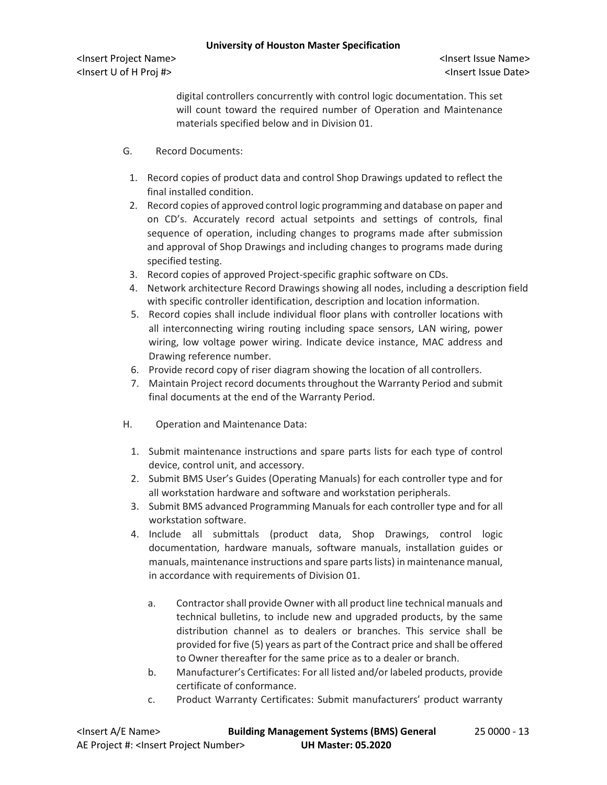digital controllers concurrently with control logic documentation. This set will count toward the required number of Operation and Maintenance materials specified below and in Division 01.

- G. Record Documents:
	- 1. Record copies of product data and control Shop Drawings updated to reflect the final installed condition.
	- 2. Record copies of approved control logic programming and database on paper and on CD's. Accurately record actual setpoints and settings of controls, final sequence of operation, including changes to programs made after submission and approval of Shop Drawings and including changes to programs made during specified testing.
	- 3. Record copies of approved Project-specific graphic software on CDs.
	- 4. Network architecture Record Drawings showing all nodes, including a description field with specific controller identification, description and location information.
	- 5. Record copies shall include individual floor plans with controller locations with all interconnecting wiring routing including space sensors, LAN wiring, power wiring, low voltage power wiring. Indicate device instance, MAC address and Drawing reference number.
	- 6. Provide record copy of riser diagram showing the location of all controllers.
	- 7. Maintain Project record documents throughout the Warranty Period and submit final documents at the end of the Warranty Period.
- H. Operation and Maintenance Data:
	- 1. Submit maintenance instructions and spare parts lists for each type of control device, control unit, and accessory.
	- 2. Submit BMS User's Guides (Operating Manuals) for each controller type and for all workstation hardware and software and workstation peripherals.
	- 3. Submit BMS advanced Programming Manuals for each controller type and for all workstation software.
	- 4. Include all submittals (product data, Shop Drawings, control logic documentation, hardware manuals, software manuals, installation guides or manuals, maintenance instructions and spare parts lists) in maintenance manual, in accordance with requirements of Division 01.
		- a. Contractor shall provide Owner with all product line technical manuals and technical bulletins, to include new and upgraded products, by the same distribution channel as to dealers or branches. This service shall be provided for five (5) years as part of the Contract price and shall be offered to Owner thereafter for the same price as to a dealer or branch.
		- b. Manufacturer's Certificates: For all listed and/or labeled products, provide certificate of conformance.
		- c. Product Warranty Certificates: Submit manufacturers' product warranty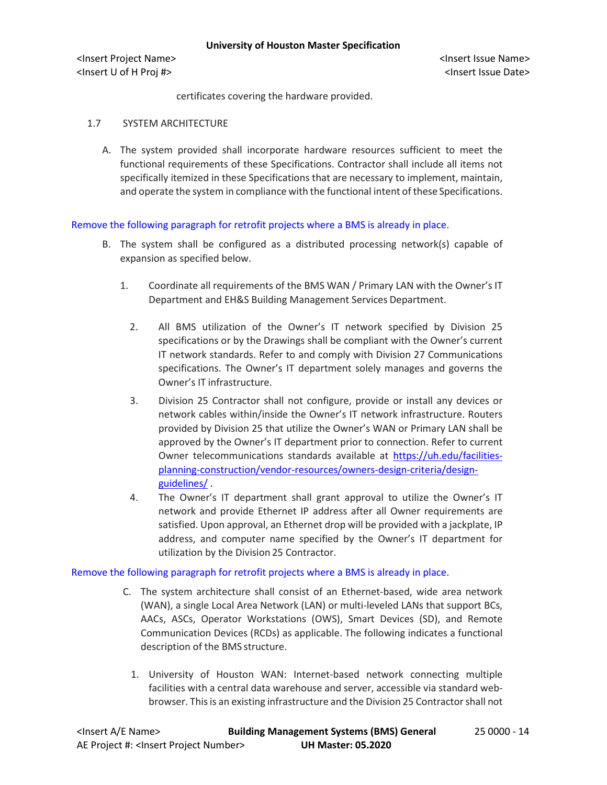certificates covering the hardware provided.

# 1.7 SYSTEM ARCHITECTURE

A. The system provided shall incorporate hardware resources sufficient to meet the functional requirements of these Specifications. Contractor shall include all items not specifically itemized in these Specifications that are necessary to implement, maintain, and operate the system in compliance with the functional intent of these Specifications.

# Remove the following paragraph for retrofit projects where a BMS is already in place.

- B. The system shall be configured as a distributed processing network(s) capable of expansion as specified below.
	- 1. Coordinate all requirements of the BMS WAN / Primary LAN with the Owner's IT Department and EH&S Building Management Services Department.
		- 2. All BMS utilization of the Owner's IT network specified by Division 25 specifications or by the Drawings shall be compliant with the Owner's current IT network standards. Refer to and comply with Division 27 Communications specifications. The Owner's IT department solely manages and governs the Owner's IT infrastructure.
		- 3. Division 25 Contractor shall not configure, provide or install any devices or network cables within/inside the Owner's IT network infrastructure. Routers provided by Division 25 that utilize the Owner's WAN or Primary LAN shall be approved by the Owner's IT department prior to connection. Refer to current Owner telecommunications standards available at [https://uh.edu/facilities](https://uh.edu/facilities-planning-construction/vendor-resources/owners-design-criteria/design-guidelines/)[planning-construction/vendor-resources/owners-design-criteria/design](https://uh.edu/facilities-planning-construction/vendor-resources/owners-design-criteria/design-guidelines/)[guidelines/](https://uh.edu/facilities-planning-construction/vendor-resources/owners-design-criteria/design-guidelines/) .
		- 4. The Owner's IT department shall grant approval to utilize the Owner's IT network and provide Ethernet IP address after all Owner requirements are satisfied. Upon approval, an Ethernet drop will be provided with a jackplate, IP address, and computer name specified by the Owner's IT department for utilization by the Division 25 Contractor.

#### Remove the following paragraph for retrofit projects where a BMS is already in place.

- C. The system architecture shall consist of an Ethernet-based, wide area network (WAN), a single Local Area Network (LAN) or multi-leveled LANs that support BCs, AACs, ASCs, Operator Workstations (OWS), Smart Devices (SD), and Remote Communication Devices (RCDs) as applicable. The following indicates a functional description of the BMS structure.
	- 1. University of Houston WAN: Internet-based network connecting multiple facilities with a central data warehouse and server, accessible via standard webbrowser. This is an existing infrastructure and the Division 25 Contractor shall not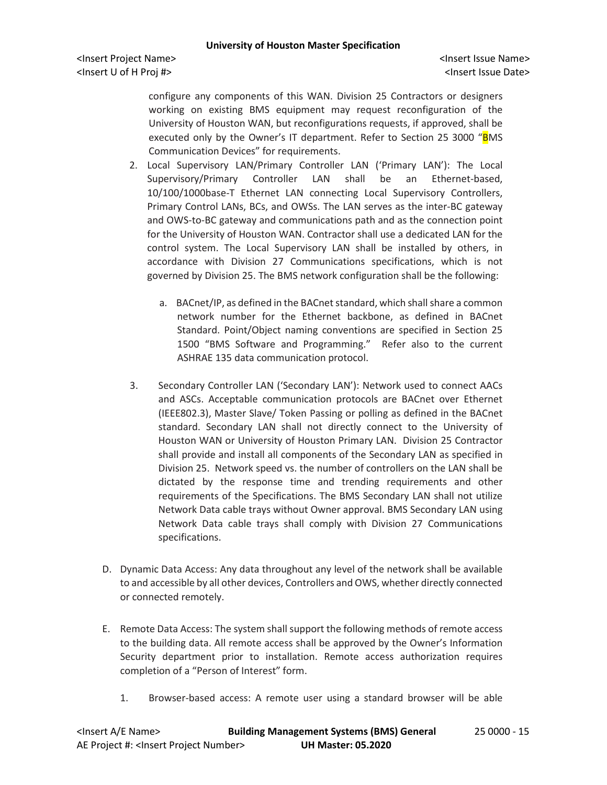<Insert Project Name> <Insert Issue Name> <Insert U of H Proj #> <Insert Issue Date>

configure any components of this WAN. Division 25 Contractors or designers working on existing BMS equipment may request reconfiguration of the University of Houston WAN, but reconfigurations requests, if approved, shall be executed only by the Owner's IT department. Refer to Section 25 3000 "BMS Communication Devices" for requirements.

- 2. Local Supervisory LAN/Primary Controller LAN ('Primary LAN'): The Local Supervisory/Primary Controller LAN shall be an Ethernet-based, 10/100/1000base-T Ethernet LAN connecting Local Supervisory Controllers, Primary Control LANs, BCs, and OWSs. The LAN serves as the inter-BC gateway and OWS-to-BC gateway and communications path and as the connection point for the University of Houston WAN. Contractor shall use a dedicated LAN for the control system. The Local Supervisory LAN shall be installed by others, in accordance with Division 27 Communications specifications, which is not governed by Division 25. The BMS network configuration shall be the following:
	- a. BACnet/IP, as defined in the BACnet standard, which shall share a common network number for the Ethernet backbone, as defined in BACnet Standard. Point/Object naming conventions are specified in Section 25 1500 "BMS Software and Programming." Refer also to the current ASHRAE 135 data communication protocol.
- 3. Secondary Controller LAN ('Secondary LAN'): Network used to connect AACs and ASCs. Acceptable communication protocols are BACnet over Ethernet (IEEE802.3), Master Slave/ Token Passing or polling as defined in the BACnet standard. Secondary LAN shall not directly connect to the University of Houston WAN or University of Houston Primary LAN. Division 25 Contractor shall provide and install all components of the Secondary LAN as specified in Division 25. Network speed vs. the number of controllers on the LAN shall be dictated by the response time and trending requirements and other requirements of the Specifications. The BMS Secondary LAN shall not utilize Network Data cable trays without Owner approval. BMS Secondary LAN using Network Data cable trays shall comply with Division 27 Communications specifications.
- D. Dynamic Data Access: Any data throughout any level of the network shall be available to and accessible by all other devices, Controllers and OWS, whether directly connected or connected remotely.
- E. Remote Data Access: The system shall support the following methods of remote access to the building data. All remote access shall be approved by the Owner's Information Security department prior to installation. Remote access authorization requires completion of a "Person of Interest" form.
	- 1. Browser-based access: A remote user using a standard browser will be able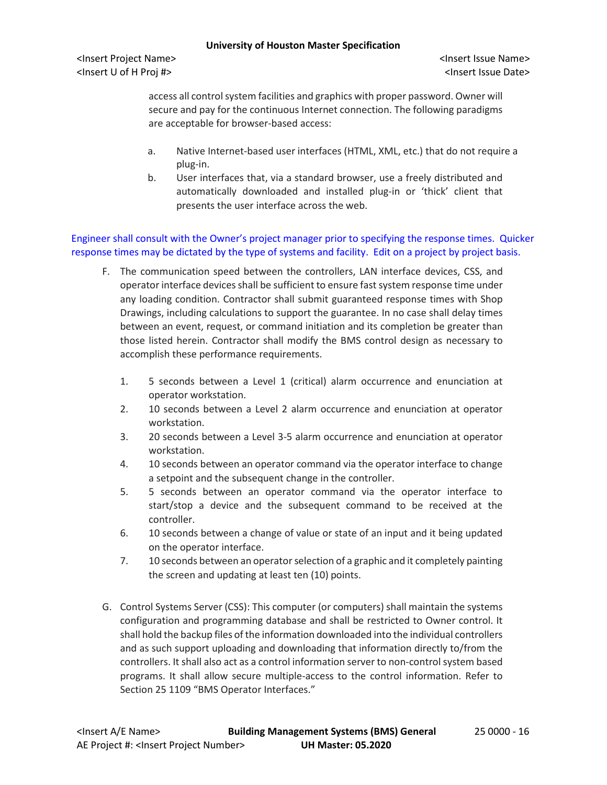<Insert Project Name> <Insert Issue Name> <Insert U of H Proj #> <Insert Issue Date>

access all control system facilities and graphics with proper password. Owner will secure and pay for the continuous Internet connection. The following paradigms are acceptable for browser-based access:

- a. Native Internet-based user interfaces (HTML, XML, etc.) that do not require a plug-in.
- b. User interfaces that, via a standard browser, use a freely distributed and automatically downloaded and installed plug-in or 'thick' client that presents the user interface across the web.

Engineer shall consult with the Owner's project manager prior to specifying the response times. Quicker response times may be dictated by the type of systems and facility. Edit on a project by project basis.

- F. The communication speed between the controllers, LAN interface devices, CSS, and operator interface devices shall be sufficient to ensure fast system response time under any loading condition. Contractor shall submit guaranteed response times with Shop Drawings, including calculations to support the guarantee. In no case shall delay times between an event, request, or command initiation and its completion be greater than those listed herein. Contractor shall modify the BMS control design as necessary to accomplish these performance requirements.
	- 1. 5 seconds between a Level 1 (critical) alarm occurrence and enunciation at operator workstation.
	- 2. 10 seconds between a Level 2 alarm occurrence and enunciation at operator workstation.
	- 3. 20 seconds between a Level 3-5 alarm occurrence and enunciation at operator workstation.
	- 4. 10 seconds between an operator command via the operator interface to change a setpoint and the subsequent change in the controller.
	- 5. 5 seconds between an operator command via the operator interface to start/stop a device and the subsequent command to be received at the controller.
	- 6. 10 seconds between a change of value or state of an input and it being updated on the operator interface.
	- 7. 10 seconds between an operator selection of a graphic and it completely painting the screen and updating at least ten (10) points.
- G. Control Systems Server (CSS): This computer (or computers) shall maintain the systems configuration and programming database and shall be restricted to Owner control. It shall hold the backup files of the information downloaded into the individual controllers and as such support uploading and downloading that information directly to/from the controllers. It shall also act as a control information server to non-control system based programs. It shall allow secure multiple-access to the control information. Refer to Section 25 1109 "BMS Operator Interfaces."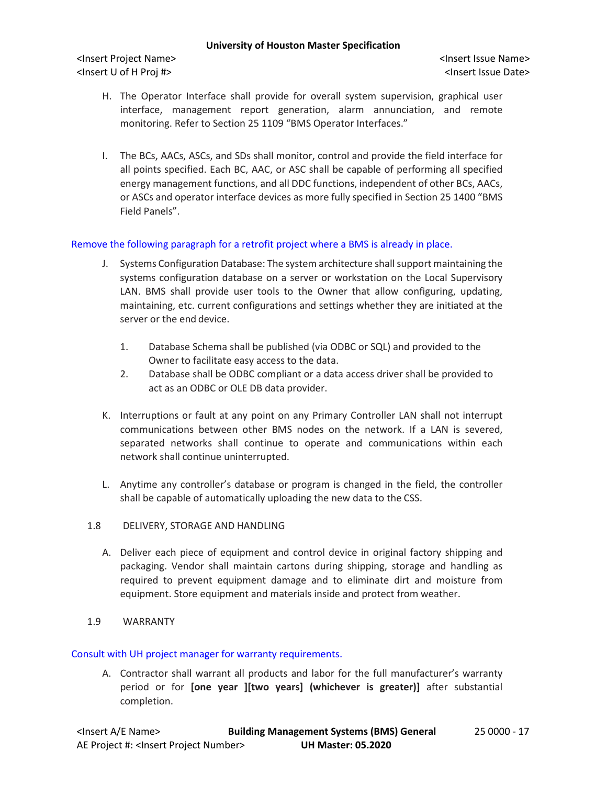<Insert Project Name> <Insert Issue Name> <Insert U of H Proj #> <Insert Issue Date>

- H. The Operator Interface shall provide for overall system supervision, graphical user interface, management report generation, alarm annunciation, and remote monitoring. Refer to Section 25 1109 "BMS Operator Interfaces."
- I. The BCs, AACs, ASCs, and SDs shall monitor, control and provide the field interface for all points specified. Each BC, AAC, or ASC shall be capable of performing all specified energy management functions, and all DDC functions, independent of other BCs, AACs, or ASCs and operator interface devices as more fully specified in Section 25 1400 "BMS Field Panels".

# Remove the following paragraph for a retrofit project where a BMS is already in place.

- J. Systems Configuration Database: The system architecture shall support maintaining the systems configuration database on a server or workstation on the Local Supervisory LAN. BMS shall provide user tools to the Owner that allow configuring, updating, maintaining, etc. current configurations and settings whether they are initiated at the server or the end device.
	- 1. Database Schema shall be published (via ODBC or SQL) and provided to the Owner to facilitate easy access to the data.
	- 2. Database shall be ODBC compliant or a data access driver shall be provided to act as an ODBC or OLE DB data provider.
- K. Interruptions or fault at any point on any Primary Controller LAN shall not interrupt communications between other BMS nodes on the network. If a LAN is severed, separated networks shall continue to operate and communications within each network shall continue uninterrupted.
- L. Anytime any controller's database or program is changed in the field, the controller shall be capable of automatically uploading the new data to the CSS.
- 1.8 DELIVERY, STORAGE AND HANDLING
	- A. Deliver each piece of equipment and control device in original factory shipping and packaging. Vendor shall maintain cartons during shipping, storage and handling as required to prevent equipment damage and to eliminate dirt and moisture from equipment. Store equipment and materials inside and protect from weather.
- 1.9 WARRANTY

#### Consult with UH project manager for warranty requirements.

A. Contractor shall warrant all products and labor for the full manufacturer's warranty period or for **[one year ][two years] (whichever is greater)]** after substantial completion.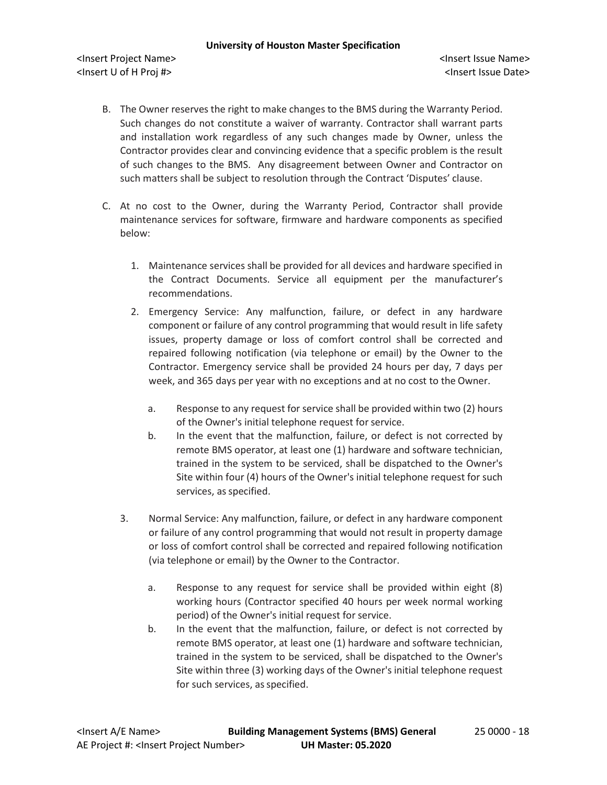- B. The Owner reserves the right to make changes to the BMS during the Warranty Period. Such changes do not constitute a waiver of warranty. Contractor shall warrant parts and installation work regardless of any such changes made by Owner, unless the Contractor provides clear and convincing evidence that a specific problem is the result of such changes to the BMS. Any disagreement between Owner and Contractor on such matters shall be subject to resolution through the Contract 'Disputes' clause.
- C. At no cost to the Owner, during the Warranty Period, Contractor shall provide maintenance services for software, firmware and hardware components as specified below:
	- 1. Maintenance services shall be provided for all devices and hardware specified in the Contract Documents. Service all equipment per the manufacturer's recommendations.
	- 2. Emergency Service: Any malfunction, failure, or defect in any hardware component or failure of any control programming that would result in life safety issues, property damage or loss of comfort control shall be corrected and repaired following notification (via telephone or email) by the Owner to the Contractor. Emergency service shall be provided 24 hours per day, 7 days per week, and 365 days per year with no exceptions and at no cost to the Owner.
		- a. Response to any request for service shall be provided within two (2) hours of the Owner's initial telephone request for service.
		- b. In the event that the malfunction, failure, or defect is not corrected by remote BMS operator, at least one (1) hardware and software technician, trained in the system to be serviced, shall be dispatched to the Owner's Site within four (4) hours of the Owner's initial telephone request for such services, as specified.
	- 3. Normal Service: Any malfunction, failure, or defect in any hardware component or failure of any control programming that would not result in property damage or loss of comfort control shall be corrected and repaired following notification (via telephone or email) by the Owner to the Contractor.
		- a. Response to any request for service shall be provided within eight (8) working hours (Contractor specified 40 hours per week normal working period) of the Owner's initial request for service.
		- b. In the event that the malfunction, failure, or defect is not corrected by remote BMS operator, at least one (1) hardware and software technician, trained in the system to be serviced, shall be dispatched to the Owner's Site within three (3) working days of the Owner's initial telephone request for such services, as specified.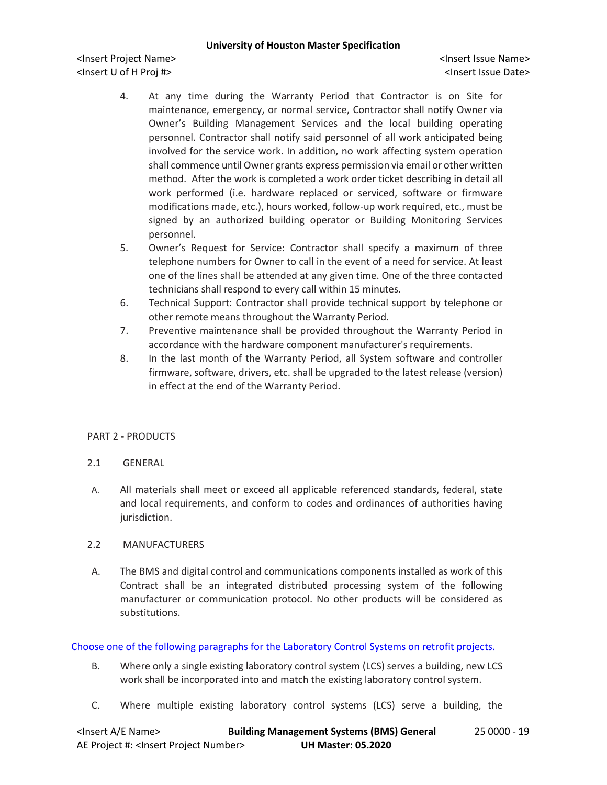<Insert Project Name> <Insert Issue Name> <Insert U of H Proj #> <Insert Issue Date>

- 4. At any time during the Warranty Period that Contractor is on Site for maintenance, emergency, or normal service, Contractor shall notify Owner via Owner's Building Management Services and the local building operating personnel. Contractor shall notify said personnel of all work anticipated being involved for the service work. In addition, no work affecting system operation shall commence until Owner grants express permission via email or other written method. After the work is completed a work order ticket describing in detail all work performed (i.e. hardware replaced or serviced, software or firmware modifications made, etc.), hours worked, follow-up work required, etc., must be signed by an authorized building operator or Building Monitoring Services personnel.
- 5. Owner's Request for Service: Contractor shall specify a maximum of three telephone numbers for Owner to call in the event of a need for service. At least one of the lines shall be attended at any given time. One of the three contacted technicians shall respond to every call within 15 minutes.
- 6. Technical Support: Contractor shall provide technical support by telephone or other remote means throughout the Warranty Period.
- 7. Preventive maintenance shall be provided throughout the Warranty Period in accordance with the hardware component manufacturer's requirements.
- 8. In the last month of the Warranty Period, all System software and controller firmware, software, drivers, etc. shall be upgraded to the latest release (version) in effect at the end of the Warranty Period.

# PART 2 - PRODUCTS

- 2.1 GENERAL
- A. All materials shall meet or exceed all applicable referenced standards, federal, state and local requirements, and conform to codes and ordinances of authorities having jurisdiction.

# 2.2 MANUFACTURERS

A. The BMS and digital control and communications components installed as work of this Contract shall be an integrated distributed processing system of the following manufacturer or communication protocol. No other products will be considered as substitutions.

# Choose one of the following paragraphs for the Laboratory Control Systems on retrofit projects.

- B. Where only a single existing laboratory control system (LCS) serves a building, new LCS work shall be incorporated into and match the existing laboratory control system.
- C. Where multiple existing laboratory control systems (LCS) serve a building, the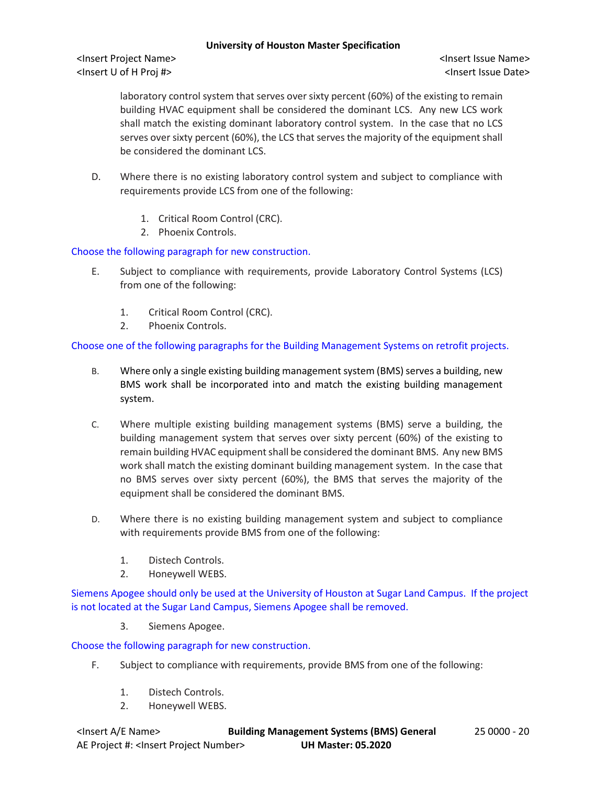laboratory control system that serves over sixty percent (60%) of the existing to remain building HVAC equipment shall be considered the dominant LCS. Any new LCS work shall match the existing dominant laboratory control system. In the case that no LCS serves over sixty percent (60%), the LCS that serves the majority of the equipment shall be considered the dominant LCS.

- D. Where there is no existing laboratory control system and subject to compliance with requirements provide LCS from one of the following:
	- 1. Critical Room Control (CRC).
	- 2. Phoenix Controls.

Choose the following paragraph for new construction.

- E. Subject to compliance with requirements, provide Laboratory Control Systems (LCS) from one of the following:
	- 1. Critical Room Control (CRC).
	- 2. Phoenix Controls.

Choose one of the following paragraphs for the Building Management Systems on retrofit projects.

- B. Where only a single existing building management system (BMS) serves a building, new BMS work shall be incorporated into and match the existing building management system.
- C. Where multiple existing building management systems (BMS) serve a building, the building management system that serves over sixty percent (60%) of the existing to remain building HVAC equipment shall be considered the dominant BMS. Any new BMS work shall match the existing dominant building management system. In the case that no BMS serves over sixty percent (60%), the BMS that serves the majority of the equipment shall be considered the dominant BMS.
- D. Where there is no existing building management system and subject to compliance with requirements provide BMS from one of the following:
	- 1. Distech Controls.
	- 2. Honeywell WEBS.

Siemens Apogee should only be used at the University of Houston at Sugar Land Campus. If the project is not located at the Sugar Land Campus, Siemens Apogee shall be removed.

3. Siemens Apogee.

Choose the following paragraph for new construction.

- F. Subject to compliance with requirements, provide BMS from one of the following:
	- 1. Distech Controls.
	- 2. Honeywell WEBS.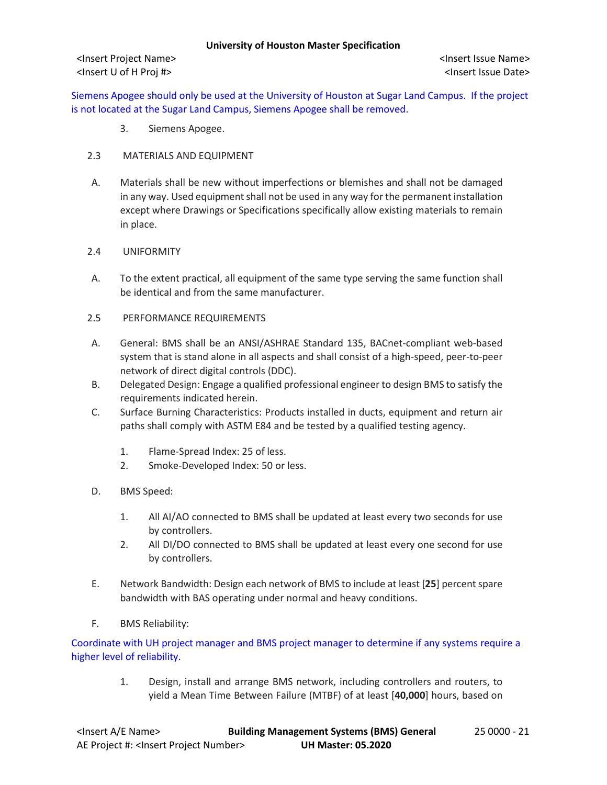Siemens Apogee should only be used at the University of Houston at Sugar Land Campus. If the project is not located at the Sugar Land Campus, Siemens Apogee shall be removed.

- 3. Siemens Apogee.
- 2.3 MATERIALS AND EQUIPMENT
- A. Materials shall be new without imperfections or blemishes and shall not be damaged in any way. Used equipment shall not be used in any way for the permanent installation except where Drawings or Specifications specifically allow existing materials to remain in place.
- 2.4 UNIFORMITY
- A. To the extent practical, all equipment of the same type serving the same function shall be identical and from the same manufacturer.
- 2.5 PERFORMANCE REQUIREMENTS
- A. General: BMS shall be an ANSI/ASHRAE Standard 135, BACnet-compliant web-based system that is stand alone in all aspects and shall consist of a high-speed, peer-to-peer network of direct digital controls (DDC).
- B. Delegated Design: Engage a qualified professional engineer to design BMS to satisfy the requirements indicated herein.
- C. Surface Burning Characteristics: Products installed in ducts, equipment and return air paths shall comply with ASTM E84 and be tested by a qualified testing agency.
	- 1. Flame-Spread Index: 25 of less.
	- 2. Smoke-Developed Index: 50 or less.
- D. BMS Speed:
	- 1. All AI/AO connected to BMS shall be updated at least every two seconds for use by controllers.
	- 2. All DI/DO connected to BMS shall be updated at least every one second for use by controllers.
- E. Network Bandwidth: Design each network of BMS to include at least [**25**] percent spare bandwidth with BAS operating under normal and heavy conditions.
- F. BMS Reliability:

Coordinate with UH project manager and BMS project manager to determine if any systems require a higher level of reliability.

> 1. Design, install and arrange BMS network, including controllers and routers, to yield a Mean Time Between Failure (MTBF) of at least [**40,000**] hours, based on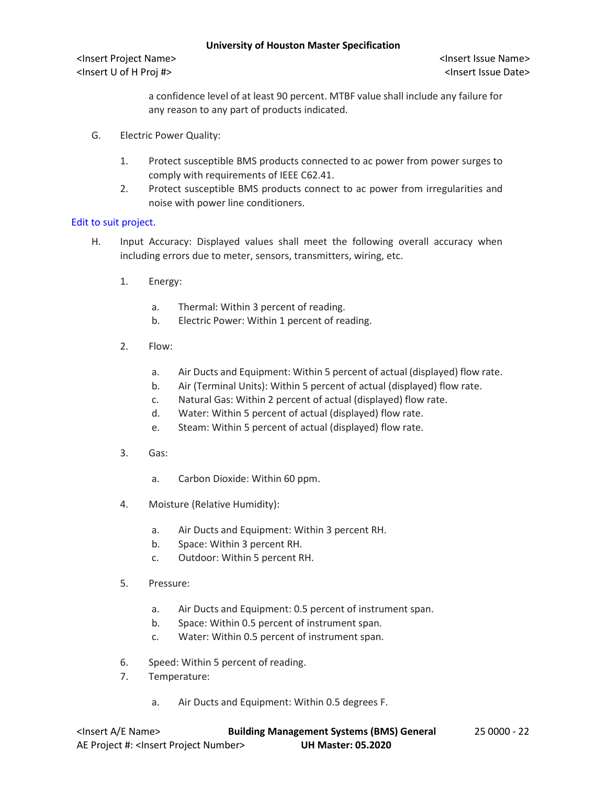<Insert Project Name> <Insert Issue Name> <Insert U of H Proj #> <Insert Issue Date>

a confidence level of at least 90 percent. MTBF value shall include any failure for any reason to any part of products indicated.

- G. Electric Power Quality:
	- 1. Protect susceptible BMS products connected to ac power from power surges to comply with requirements of IEEE C62.41.
	- 2. Protect susceptible BMS products connect to ac power from irregularities and noise with power line conditioners.

# Edit to suit project.

- H. Input Accuracy: Displayed values shall meet the following overall accuracy when including errors due to meter, sensors, transmitters, wiring, etc.
	- 1. Energy:
		- a. Thermal: Within 3 percent of reading.
		- b. Electric Power: Within 1 percent of reading.
	- 2. Flow:
		- a. Air Ducts and Equipment: Within 5 percent of actual (displayed) flow rate.
		- b. Air (Terminal Units): Within 5 percent of actual (displayed) flow rate.
		- c. Natural Gas: Within 2 percent of actual (displayed) flow rate.
		- d. Water: Within 5 percent of actual (displayed) flow rate.
		- e. Steam: Within 5 percent of actual (displayed) flow rate.
	- 3. Gas:
		- a. Carbon Dioxide: Within 60 ppm.
	- 4. Moisture (Relative Humidity):
		- a. Air Ducts and Equipment: Within 3 percent RH.
		- b. Space: Within 3 percent RH.
		- c. Outdoor: Within 5 percent RH.
	- 5. Pressure:
		- a. Air Ducts and Equipment: 0.5 percent of instrument span.
		- b. Space: Within 0.5 percent of instrument span.
		- c. Water: Within 0.5 percent of instrument span.
	- 6. Speed: Within 5 percent of reading.
	- 7. Temperature:
		- a. Air Ducts and Equipment: Within 0.5 degrees F.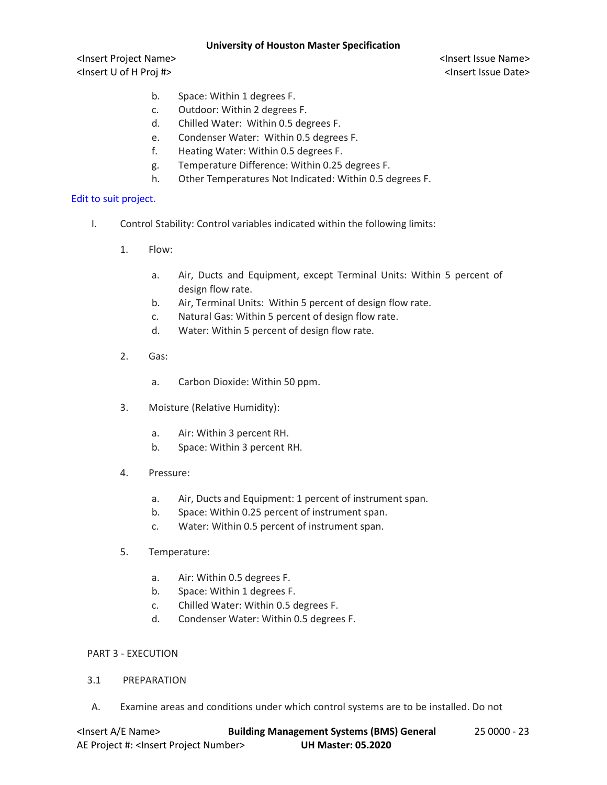<Insert Project Name> <Insert Issue Name> <Insert U of H Proj #> <Insert Issue Date>

- b. Space: Within 1 degrees F.
- c. Outdoor: Within 2 degrees F.
- d. Chilled Water: Within 0.5 degrees F.
- e. Condenser Water: Within 0.5 degrees F.
- f. Heating Water: Within 0.5 degrees F.
- g. Temperature Difference: Within 0.25 degrees F.
- h. Other Temperatures Not Indicated: Within 0.5 degrees F.

# Edit to suit project.

- I. Control Stability: Control variables indicated within the following limits:
	- 1. Flow:
		- a. Air, Ducts and Equipment, except Terminal Units: Within 5 percent of design flow rate.
		- b. Air, Terminal Units: Within 5 percent of design flow rate.
		- c. Natural Gas: Within 5 percent of design flow rate.
		- d. Water: Within 5 percent of design flow rate.
	- 2. Gas:
		- a. Carbon Dioxide: Within 50 ppm.
	- 3. Moisture (Relative Humidity):
		- a. Air: Within 3 percent RH.
		- b. Space: Within 3 percent RH.
	- 4. Pressure:
		- a. Air, Ducts and Equipment: 1 percent of instrument span.
		- b. Space: Within 0.25 percent of instrument span.
		- c. Water: Within 0.5 percent of instrument span.
	- 5. Temperature:
		- a. Air: Within 0.5 degrees F.
		- b. Space: Within 1 degrees F.
		- c. Chilled Water: Within 0.5 degrees F.
		- d. Condenser Water: Within 0.5 degrees F.

#### PART 3 - EXECUTION

#### 3.1 PREPARATION

A. Examine areas and conditions under which control systems are to be installed. Do not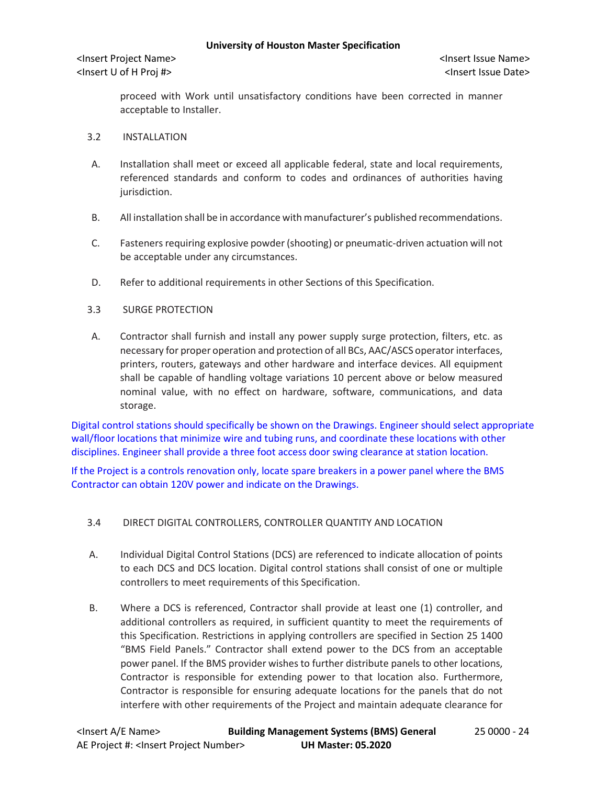proceed with Work until unsatisfactory conditions have been corrected in manner acceptable to Installer.

- 3.2 INSTALLATION
- A. Installation shall meet or exceed all applicable federal, state and local requirements, referenced standards and conform to codes and ordinances of authorities having jurisdiction.
- B. All installation shall be in accordance with manufacturer's published recommendations.
- C. Fasteners requiring explosive powder (shooting) or pneumatic-driven actuation will not be acceptable under any circumstances.
- D. Refer to additional requirements in other Sections of this Specification.
- 3.3 SURGE PROTECTION
- A. Contractor shall furnish and install any power supply surge protection, filters, etc. as necessary for proper operation and protection of all BCs, AAC/ASCS operator interfaces, printers, routers, gateways and other hardware and interface devices. All equipment shall be capable of handling voltage variations 10 percent above or below measured nominal value, with no effect on hardware, software, communications, and data storage.

Digital control stations should specifically be shown on the Drawings. Engineer should select appropriate wall/floor locations that minimize wire and tubing runs, and coordinate these locations with other disciplines. Engineer shall provide a three foot access door swing clearance at station location.

If the Project is a controls renovation only, locate spare breakers in a power panel where the BMS Contractor can obtain 120V power and indicate on the Drawings.

- 3.4 DIRECT DIGITAL CONTROLLERS, CONTROLLER QUANTITY AND LOCATION
- A. Individual Digital Control Stations (DCS) are referenced to indicate allocation of points to each DCS and DCS location. Digital control stations shall consist of one or multiple controllers to meet requirements of this Specification.
- B. Where a DCS is referenced, Contractor shall provide at least one (1) controller, and additional controllers as required, in sufficient quantity to meet the requirements of this Specification. Restrictions in applying controllers are specified in Section 25 1400 "BMS Field Panels." Contractor shall extend power to the DCS from an acceptable power panel. If the BMS provider wishes to further distribute panels to other locations, Contractor is responsible for extending power to that location also. Furthermore, Contractor is responsible for ensuring adequate locations for the panels that do not interfere with other requirements of the Project and maintain adequate clearance for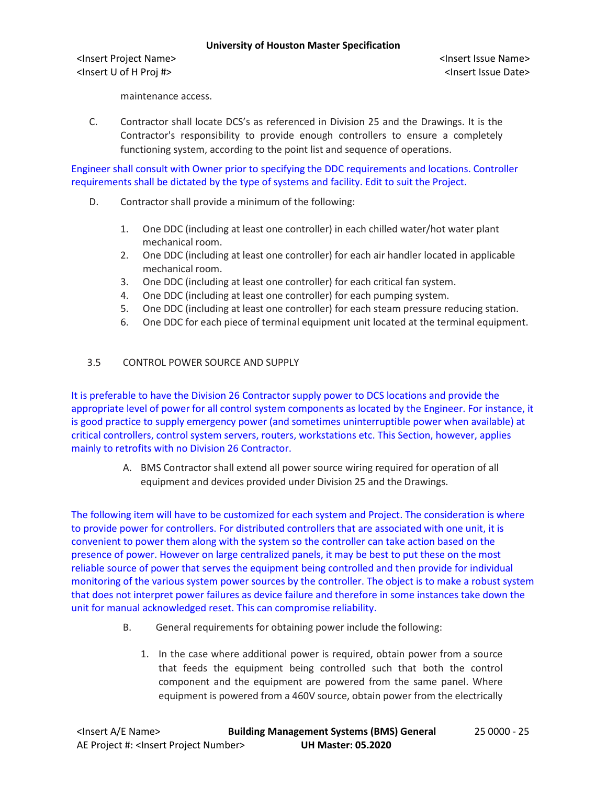<Insert Project Name> <Insert Issue Name> <Insert U of H Proj #> <Insert Issue Date>

maintenance access.

C. Contractor shall locate DCS's as referenced in Division 25 and the Drawings. It is the Contractor's responsibility to provide enough controllers to ensure a completely functioning system, according to the point list and sequence of operations.

Engineer shall consult with Owner prior to specifying the DDC requirements and locations. Controller requirements shall be dictated by the type of systems and facility. Edit to suit the Project.

- D. Contractor shall provide a minimum of the following:
	- 1. One DDC (including at least one controller) in each chilled water/hot water plant mechanical room.
	- 2. One DDC (including at least one controller) for each air handler located in applicable mechanical room.
	- 3. One DDC (including at least one controller) for each critical fan system.
	- 4. One DDC (including at least one controller) for each pumping system.
	- 5. One DDC (including at least one controller) for each steam pressure reducing station.
	- 6. One DDC for each piece of terminal equipment unit located at the terminal equipment.

# 3.5 CONTROL POWER SOURCE AND SUPPLY

It is preferable to have the Division 26 Contractor supply power to DCS locations and provide the appropriate level of power for all control system components as located by the Engineer. For instance, it is good practice to supply emergency power (and sometimes uninterruptible power when available) at critical controllers, control system servers, routers, workstations etc. This Section, however, applies mainly to retrofits with no Division 26 Contractor.

> A. BMS Contractor shall extend all power source wiring required for operation of all equipment and devices provided under Division 25 and the Drawings.

The following item will have to be customized for each system and Project. The consideration is where to provide power for controllers. For distributed controllers that are associated with one unit, it is convenient to power them along with the system so the controller can take action based on the presence of power. However on large centralized panels, it may be best to put these on the most reliable source of power that serves the equipment being controlled and then provide for individual monitoring of the various system power sources by the controller. The object is to make a robust system that does not interpret power failures as device failure and therefore in some instances take down the unit for manual acknowledged reset. This can compromise reliability.

- B. General requirements for obtaining power include the following:
	- 1. In the case where additional power is required, obtain power from a source that feeds the equipment being controlled such that both the control component and the equipment are powered from the same panel. Where equipment is powered from a 460V source, obtain power from the electrically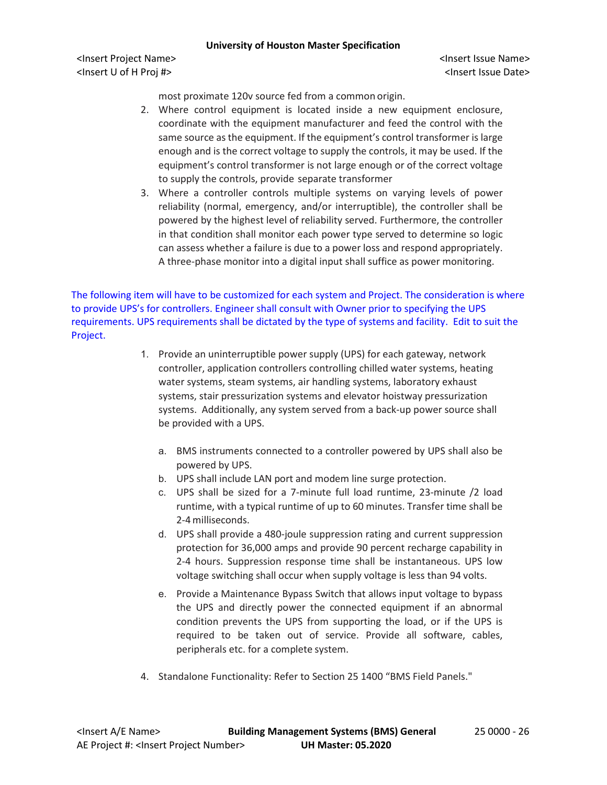<Insert Project Name> <Insert Issue Name> <Insert U of H Proj #> <Insert Issue Date>

most proximate 120v source fed from a common origin.

- 2. Where control equipment is located inside a new equipment enclosure, coordinate with the equipment manufacturer and feed the control with the same source as the equipment. If the equipment's control transformer is large enough and is the correct voltage to supply the controls, it may be used. If the equipment's control transformer is not large enough or of the correct voltage to supply the controls, provide separate transformer
- 3. Where a controller controls multiple systems on varying levels of power reliability (normal, emergency, and/or interruptible), the controller shall be powered by the highest level of reliability served. Furthermore, the controller in that condition shall monitor each power type served to determine so logic can assess whether a failure is due to a power loss and respond appropriately. A three-phase monitor into a digital input shall suffice as power monitoring.

The following item will have to be customized for each system and Project. The consideration is where to provide UPS's for controllers. Engineer shall consult with Owner prior to specifying the UPS requirements. UPS requirements shall be dictated by the type of systems and facility. Edit to suit the Project.

- 1. Provide an uninterruptible power supply (UPS) for each gateway, network controller, application controllers controlling chilled water systems, heating water systems, steam systems, air handling systems, laboratory exhaust systems, stair pressurization systems and elevator hoistway pressurization systems. Additionally, any system served from a back-up power source shall be provided with a UPS.
	- a. BMS instruments connected to a controller powered by UPS shall also be powered by UPS.
	- b. UPS shall include LAN port and modem line surge protection.
	- c. UPS shall be sized for a 7-minute full load runtime, 23-minute /2 load runtime, with a typical runtime of up to 60 minutes. Transfer time shall be 2-4milliseconds.
	- d. UPS shall provide a 480-joule suppression rating and current suppression protection for 36,000 amps and provide 90 percent recharge capability in 2-4 hours. Suppression response time shall be instantaneous. UPS low voltage switching shall occur when supply voltage is less than 94 volts.
	- e. Provide a Maintenance Bypass Switch that allows input voltage to bypass the UPS and directly power the connected equipment if an abnormal condition prevents the UPS from supporting the load, or if the UPS is required to be taken out of service. Provide all software, cables, peripherals etc. for a complete system.
- 4. Standalone Functionality: Refer to Section 25 1400 "BMS Field Panels."